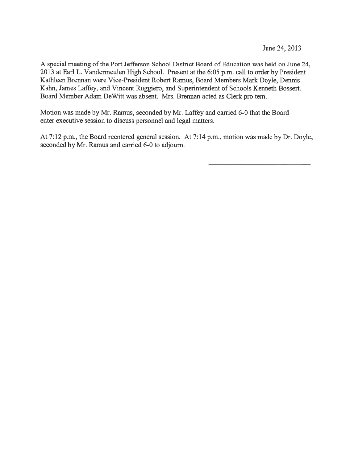June 24, 2013

A special meeting of the Port Jefferson School District Board of Education was held on June 24, 2013 at Earl L. Vandermeulen High School. Present at the 6:05 p.m. call to order by President Kathleen Brennan were Vice-President Robert Ramus, Board Members Mark Doyle, Dennis Kahn, James Laffey, and Vincent Ruggiero, and Superintendent of Schools Kenneth Bossert. Board Member Adam DeWitt was absent. Mrs. Brennan acted as Clerk pro tern.

Motion was made by Mr. Ramus, seconded by Mr. Laffey and carried 6-0 that the Board enter executive session to discuss personnel and legal matters.

At 7:12 p.m., the Board reentered general session. At 7:14 p.m., motion was made by Dr. Doyle, seconded by Mr. Ramus and carried 6-0 to adjourn.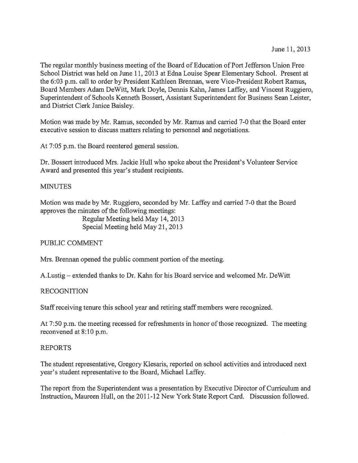The regular monthly business meeting of the Board of Education of Port Jefferson Union Free School District was held on June 11, 2013 at Edna Louise Spear Elementary School. Present at the 6:03 p.m. call to order by President Kathleen Brennan, were Vice-President Robert Ramus, Board Members Adam DeWitt, Mark Doyle, Dennis Kahn, James Laffey, and Vincent Ruggiero, Superintendent of Schools Kenneth Bossert, Assistant Superintendent for Business Sean Leister, and District Clerk Janice Baisley.

Motion was made by Mr. Ramus, seconded by Mr. Ramus and carried 7-0 that the Board enter executive session to discuss matters relating to personnel and negotiations.

At 7:05 p.m. the Board reentered general session.

Dr. Bossert introduced Mrs. Jackie Hull who spoke about the President's Volunteer Service Award and presented this year's student recipients.

# MINUTES

Motion was made by Mr. Ruggiero, seconded by Mr. Laffey and carried 7-0 that the Board approves the minutes of the following meetings: Regular Meeting held May 14, 2013 Special Meeting held May 21, 2013

PUBLIC COMMENT

Mrs. Brennan opened the public comment portion of the meeting.

A.Lustig — extended thanks to Dr. Kahn for his Board service and welcomed Mr. DeWitt

#### RECOGNITION

Staff receiving tenure this school year and retiring staff members were recognized.

At 7:50 p.m. the meeting recessed for refreshments in honor of those recognized. The meeting reconvened at 8:10 p.m.

#### REPORTS

The student representative, Gregory Klesaris, reported on school activities and introduced next year's student representative to the Board, Michael Laffey.

The repor<sup>t</sup> from the Superintendent was <sup>a</sup> presentation by Executive Director of Curriculum and Instruction, Maureen Hull, on the 2011-12 New York State Report Card. Discussion followed.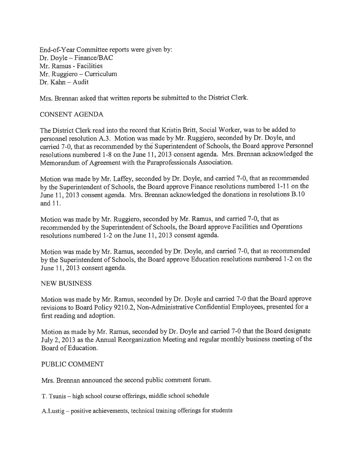End-of-Year Committee reports were given by: Dr. Doyle — Finance/BAC Mr. Ramus - Facilities Mr. Ruggiero — Curriculum  $Dr.$  Kahn – Audit

Mrs. Brennan asked that written reports be submitted to the District Clerk.

# CONSENT AGENDA

The District Clerk read into the record that Kristin Britt, Social Worker, was to be added to personne<sup>l</sup> resolution A.3. Motion was made by Mr. Ruggiero, seconded by Dr. Doyle, and carried 7-0, that as recommended by the Superintendent of Schools, the Board approve Personnel resolutions numbered 1-8 on the June 11, 2013 consent agenda. Mrs. Brennan acknowledged the Memorandum of Agreement with the Paraprofessionals Association.

Motion was made by Mr. Laffey, seconded by Dr. Doyle, and carried 7-0, that as recommended by the Superintendent of Schools, the Board approve Finance resolutions numbered 1-11 on the June 11, <sup>2013</sup> consent agenda. Mrs. Brennan acknowledged the donations in resolutions B. <sup>10</sup> and 11.

Motion was made by Mr. Ruggiero, seconded by Mr. Ramus, and carried 7-0, that as recommended by the Superintendent of Schools, the Board approve Facilities and Operations resolutions numbered 1-2 on the June 11, 2013 consent agenda.

Motion was made by Mr. Ramus, seconded by Dr. Doyle, and carried 7-0, that as recommended by the Superintendent of Schools, the Board approve Education resolutions numbered 1-2 on the June 11, 2013 consent agenda.

# NEW BUSNESS

Motion was made by Mr. Ramus, seconded by Dr. Doyle and carried 7-0 that the Board approve revisions to Board Policy 9210.2, Non-Administrative Confidential Employees, presented for <sup>a</sup> first reading and adoption.

Motion as made by Mr. Ramus, seconded by Dr. Doyle and carried 7-0 that the Board designate July 2, <sup>2013</sup> as the Annual Reorganization Meeting and regular monthly business meeting of the Board of Education.

# PUBLIC COMMENT

Mrs. Brennan announced the second public comment forum.

T. Tsunis — high school course offerings, middle school schedule

A.Lustig — positive achievements, technical training offerings for students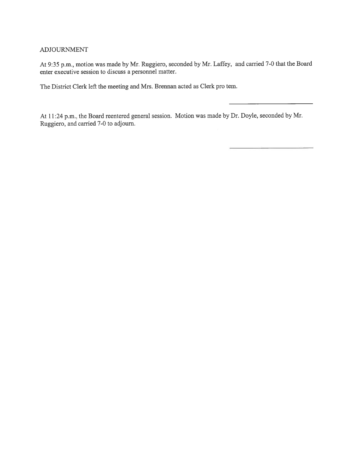#### ADJOURNMENT

At 9:35 p.m., motion was made by Mr. Ruggiero, seconded by Mr. Laffey, and carried 7-0 that the Board enter executive session to discuss <sup>a</sup> personnel matter.

The District Clerk left the meeting and Mrs. Brennan acted as Clerk pro tem.

At 11:24 p.m., the Board reentered genera<sup>l</sup> session. Motion was made by Dr. Doyle, seconded by Mr. Ruggiero, and carried 7-0 to adjourn.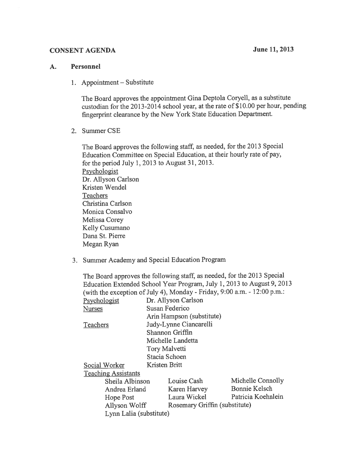# CONSENT AGENDA June 11, 2013

#### A. Personnel

1. Appointment — Substitute

The Board approves the appointment Gina Deptola Coryell, as <sup>a</sup> substitute custodian for the 2013-2014 school year, at the rate of \$10.00 per hour, pending fingerprint clearance by the New York State Education Department.

2. Summer CSE

The Board approves the following staff, as needed, for the <sup>2013</sup> Special Education Committee on Special Education, at their hourly rate of pay, for the period July 1,2013 to August 31, 2013. Psychologist Dr. Allyson Carlson Kristen Wendel **Teachers** Christina Carlson Monica Consalvo Melissa Corey Kelly Cusumano Dana St. Pierre Megan Ryan

3. Summer Academy and Special Education Program

|               |                            |                        | The Board approves the following staff, as needed, for the 2013 Special  | Education Extended School Year Program, July 1, 2013 to August 9, 2013 |  |  |
|---------------|----------------------------|------------------------|--------------------------------------------------------------------------|------------------------------------------------------------------------|--|--|
|               |                            |                        | (with the exception of July 4), Monday - Friday, 9:00 a.m. - 12:00 p.m.: |                                                                        |  |  |
| Psychologist  |                            |                        | Dr. Allyson Carlson                                                      |                                                                        |  |  |
| <b>Nurses</b> |                            |                        | Susan Federico                                                           |                                                                        |  |  |
|               |                            |                        | Arin Hampson (substitute)                                                |                                                                        |  |  |
| Teachers      |                            | Judy-Lynne Ciancarelli |                                                                          |                                                                        |  |  |
|               |                            |                        | Shannon Griffin                                                          |                                                                        |  |  |
|               |                            |                        | Michelle Landetta                                                        |                                                                        |  |  |
|               |                            | <b>Tory Malvetti</b>   |                                                                          |                                                                        |  |  |
|               |                            |                        | Stacia Schoen                                                            |                                                                        |  |  |
| Social Worker |                            |                        | Kristen Britt                                                            |                                                                        |  |  |
|               | <b>Teaching Assistants</b> |                        |                                                                          |                                                                        |  |  |
|               | Sheila Albinson            |                        | Louise Cash                                                              | Michelle Connolly                                                      |  |  |
|               | Andrea Erland              |                        | Karen Harvey                                                             | Bonnie Kelsch                                                          |  |  |
|               | Hope Post                  |                        | Laura Wickel                                                             | Patricia Koehnlein                                                     |  |  |
|               | Allyson Wolff              |                        | Rosemary Griffin (substitute)                                            |                                                                        |  |  |
|               | Lynn Lalia (substitute)    |                        |                                                                          |                                                                        |  |  |
|               |                            |                        |                                                                          |                                                                        |  |  |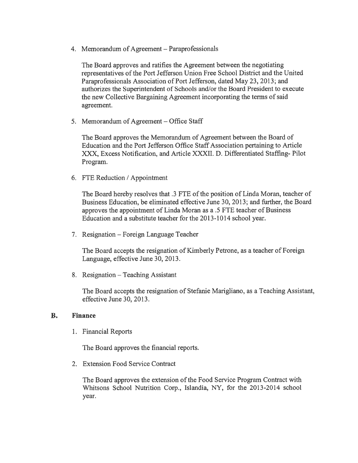4. Memorandum of Agreement — Paraprofessionals

The Board approves and ratifies the Agreement between the negotiating representatives of the Port Jefferson Union Free School District and the United Paraprofessionals Association of Port Jefferson, dated May 23, 2013; and authorizes the Superintendent of Schools and/or the Board President to execute the new Collective Bargaining Agreement incorporating the terms of said agreement.

5. Memorandum of Agreement — Office Staff

The Board approves the Memorandum of Agreement between the Board of Education and the Port Jefferson Office Staff Association pertaining to Article XXX, Excess Notification, and Article XXXII. D. Differentiated Staffing- Pilot Program.

6. FTE Reduction / Appointment

The Board hereby resolves that .3 FTE of the position of Linda Moran, teacher of Business Education, be eliminated effective June 30, 2013; and further, the Board approves the appointment of Linda Moran as <sup>a</sup> .5 FTE teacher of Business Education and <sup>a</sup> substitute teacher for the 2013-1014 school year.

7. Resignation — Foreign Language Teacher

The Board accepts the resignation of Kimberly Petrone, as <sup>a</sup> teacher of Foreign Language, effective June 30, 2013.

8. Resignation — Teaching Assistant

The Board accepts the resignation of Stefanie Marigliano, as <sup>a</sup> Teaching Assistant, effective June 30, 2013.

# B. Finance

1. Financial Reports

The Board approves the financial reports.

2. Extension Food Service Contract

The Board approves the extension of the Food Service Program Contract with Whitsons School Nutrition Corp., Islandia, NY, for the 2013-2014 school year.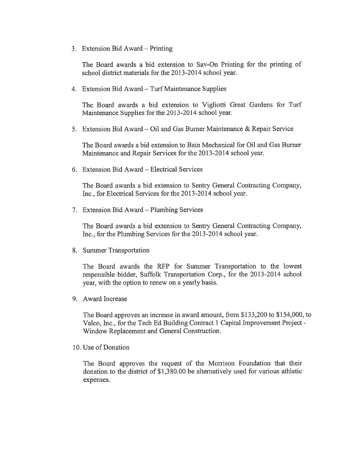3. Extension Bid Award — Printing

The Board awards <sup>a</sup> bid extension to Say-On Printing for the printing of school district materials for the 2013-2014 school year.

4. Extension Bid Award — Turf Maintenance Supplies

The Board awards <sup>a</sup> bid extension to Vigliotti Great Gardens for Turf Maintenance Supplies for the 2013-2014 school year.

5. Extension Bid Award — Oil and Gas Burner Maintenance & Repair Service

The Board awards <sup>a</sup> bid extension to Bain Mechanical for Oil and Gas Burner Maintenance and Repair Services for the 2013-2014 school year.

6. Extension Bid Award — Electrical Services

The Board awards <sup>a</sup> bid extension to Sentry General Contracting Company, Inc., for Electrical Services for the 2013-2014 school year.

7. Extension Bid Award — Plumbing Services

The Board awards <sup>a</sup> bid extension to Sentry General Contracting Company, Inc., for the Plumbing Services for the 2013-2014 school year.

8. Summer Transportation

The Board awards the RFP for Summer Transportation to the lowest responsible bidder, Suffolk Transportation Corp., for the 2013-2014 school year, with the option to renew on <sup>a</sup> yearly basis.

9. Award Increase

The Board approves an increase in award amount, from \$133,200 to \$154,000, to Valco, Inc., for the Tech Ed Building Contract I Capital Improvement Project - Window Replacement and General Construction.

10. Use of Donation

The Board approves the reques<sup>t</sup> of the Morrison Foundation that their donation to the district of \$1,380.00 be alternatively used for various athletic expenses.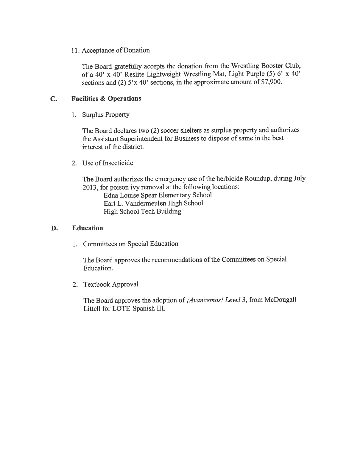# 11. Acceptance of Donation

The Board gratefully accepts the donation from the Wrestling Booster Club, of <sup>a</sup> 40' <sup>x</sup> 40' Reslite Lightweight Wrestling Mat, Light Purple (5) 6' <sup>x</sup> 40' sections and (2) 5'x 40' sections, in the approximate amount of \$7,900.

# C. Facilities & Operations

1. Surplus Property

The Board declares two (2) soccer shelters as surplus property and authorizes the Assistant Superintendent for Business to dispose of same in the best interest of the district.

2. Use of Insecticide

The Board authorizes the emergency use of the herbicide Roundup, during July 2013, for poison ivy removal at the following locations:

Edna Louise Spear Elementary School Earl L. Vandermeulen High School High School Tech Building

# D. Education

1. Committees on Special Education

The Board approves the recommendations of the Committees on Special Education.

2. Textbook Approval

The Board approves the adoption of *Avancemos! Level 3*, from McDougall Littell for LOTE-Spanish III.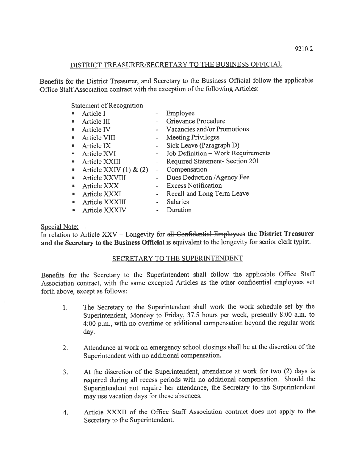# DISTRICT TREASURER/SECRETARY TO THE BUSINESS OFFICIAL

Benefits for the District Treasurer, and Secretary to the Business Official follow the applicable Office Staff Association contract with the exception of the following Articles:

Statement of Recognition

|   | Article I                  |                              | Employee                           |
|---|----------------------------|------------------------------|------------------------------------|
| 看 | Article III                |                              | Grievance Procedure                |
|   | Article IV                 |                              | Vacancies and/or Promotions        |
|   | <b>Article VIII</b>        |                              | - Meeting Privileges               |
|   | Article IX                 |                              | - Sick Leave (Paragraph D)         |
|   | Article XVI                | $\sim$                       | Job Definition - Work Requirements |
|   | Article XXIII              |                              | Required Statement- Section 201    |
|   | Article XXIV $(1)$ & $(2)$ | $\qquad \qquad \blacksquare$ | Compensation                       |
|   | Article XXVIII             |                              | Dues Deduction / Agency Fee        |
|   | Article XXX                |                              | - Excess Notification              |
|   | Article XXXI               | $\sim$ 10 $\pm$              | Recall and Long Term Leave         |
|   | Article XXXIII             |                              | <b>Salaries</b>                    |
|   | Article XXXIV              |                              | Duration                           |

# Special Note:

In relation to Article XXV - Longevity for all Confidential Employees the District Treasurer and the Secretary to the Business Official is equivalent to the longevity for senior clerk typist.

# SECRETARY TO THE SUPERINTENDENT

Benefits for the Secretary to the Superintendent shall follow the applicable Office Staff Association contract, with the same excepted Articles as the other confidential employees set forth above, excep<sup>t</sup> as follows:

- 1. The Secretary to the Superintendent shall work the work schedule set by the Superintendent, Monday to Friday, 37.5 hours per week, presently 8:00 a.m. to 4:00 p.m., with no overtime or additional compensation beyond the regular work day.
- 2. Attendance at work on emergency school closings shall be at the discretion of the Superintendent with no additional compensation.
- 3. At the discretion of the Superintendent, attendance at work for two (2) days is required during all recess periods with no additional compensation. Should the Superintendent not require her attendance, the Secretary to the Superintendent may use vacation days for these absences.
- 4. Article XXXII of the Office Staff Association contract does not apply to the Secretary to the Superintendent.